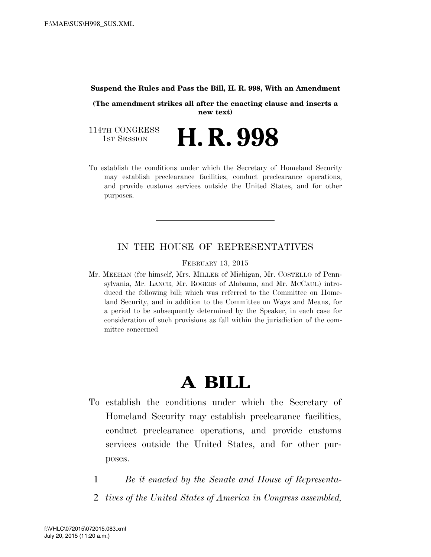#### **Suspend the Rules and Pass the Bill, H. R. 998, With an Amendment**

**(The amendment strikes all after the enacting clause and inserts a new text)** 

114TH CONGRESS<br>1st Session H. R. 998

To establish the conditions under which the Secretary of Homeland Security may establish preclearance facilities, conduct preclearance operations, and provide customs services outside the United States, and for other purposes.

### IN THE HOUSE OF REPRESENTATIVES

FEBRUARY 13, 2015

Mr. MEEHAN (for himself, Mrs. MILLER of Michigan, Mr. COSTELLO of Pennsylvania, Mr. LANCE, Mr. ROGERS of Alabama, and Mr. MCCAUL) introduced the following bill; which was referred to the Committee on Homeland Security, and in addition to the Committee on Ways and Means, for a period to be subsequently determined by the Speaker, in each case for consideration of such provisions as fall within the jurisdiction of the committee concerned

# **A BILL**

- To establish the conditions under which the Secretary of Homeland Security may establish preclearance facilities, conduct preclearance operations, and provide customs services outside the United States, and for other purposes.
	- 1 *Be it enacted by the Senate and House of Representa-*
	- 2 *tives of the United States of America in Congress assembled,*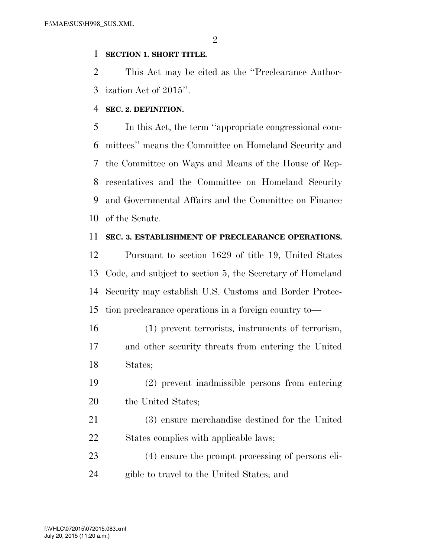#### **SECTION 1. SHORT TITLE.**

 This Act may be cited as the ''Preclearance Author-ization Act of 2015''.

#### **SEC. 2. DEFINITION.**

 In this Act, the term ''appropriate congressional com- mittees'' means the Committee on Homeland Security and the Committee on Ways and Means of the House of Rep- resentatives and the Committee on Homeland Security and Governmental Affairs and the Committee on Finance of the Senate.

#### **SEC. 3. ESTABLISHMENT OF PRECLEARANCE OPERATIONS.**

 Pursuant to section 1629 of title 19, United States Code, and subject to section 5, the Secretary of Homeland Security may establish U.S. Customs and Border Protec-tion preclearance operations in a foreign country to—

- (1) prevent terrorists, instruments of terrorism, and other security threats from entering the United States;
- (2) prevent inadmissible persons from entering 20 the United States;
- (3) ensure merchandise destined for the United States complies with applicable laws;
- (4) ensure the prompt processing of persons eli-gible to travel to the United States; and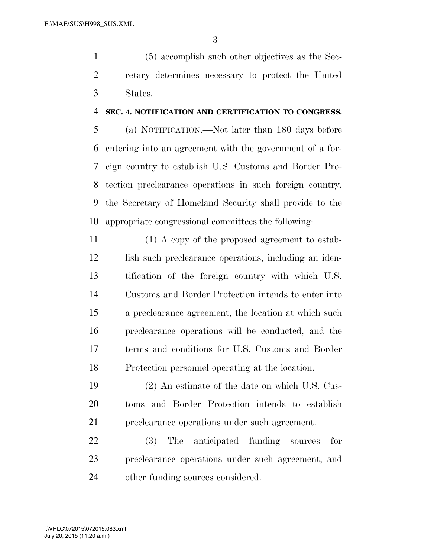(5) accomplish such other objectives as the Sec- retary determines necessary to protect the United States.

#### **SEC. 4. NOTIFICATION AND CERTIFICATION TO CONGRESS.**

 (a) NOTIFICATION.—Not later than 180 days before entering into an agreement with the government of a for- eign country to establish U.S. Customs and Border Pro- tection preclearance operations in such foreign country, the Secretary of Homeland Security shall provide to the appropriate congressional committees the following:

- (1) A copy of the proposed agreement to estab-12 lish such preclearance operations, including an iden- tification of the foreign country with which U.S. Customs and Border Protection intends to enter into a preclearance agreement, the location at which such preclearance operations will be conducted, and the terms and conditions for U.S. Customs and Border Protection personnel operating at the location.
- (2) An estimate of the date on which U.S. Cus- toms and Border Protection intends to establish preclearance operations under such agreement.
- (3) The anticipated funding sources for preclearance operations under such agreement, and 24 other funding sources considered.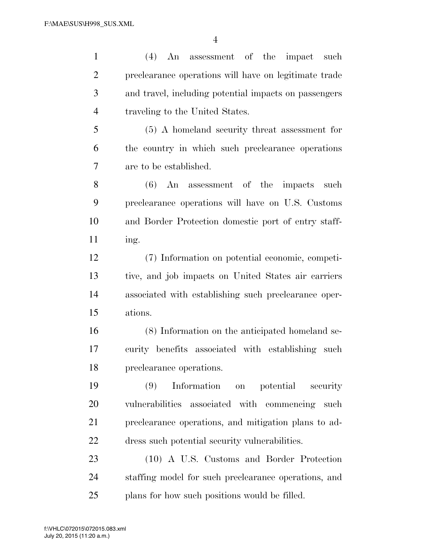(4) An assessment of the impact such preclearance operations will have on legitimate trade and travel, including potential impacts on passengers traveling to the United States. (5) A homeland security threat assessment for the country in which such preclearance operations are to be established. (6) An assessment of the impacts such preclearance operations will have on U.S. Customs and Border Protection domestic port of entry staff- ing. (7) Information on potential economic, competi- tive, and job impacts on United States air carriers associated with establishing such preclearance oper- ations. (8) Information on the anticipated homeland se- curity benefits associated with establishing such preclearance operations. (9) Information on potential security vulnerabilities associated with commencing such preclearance operations, and mitigation plans to ad- dress such potential security vulnerabilities. (10) A U.S. Customs and Border Protection staffing model for such preclearance operations, and

25 plans for how such positions would be filled.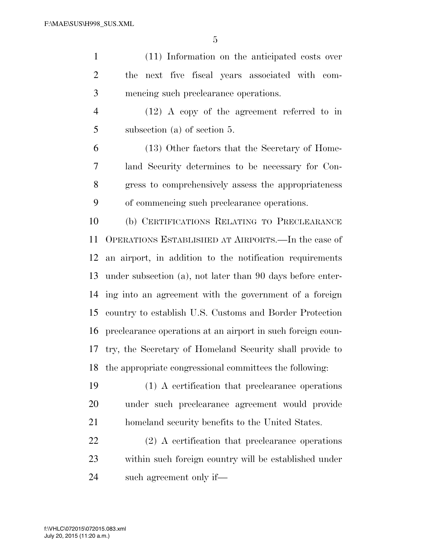(11) Information on the anticipated costs over the next five fiscal years associated with com-mencing such preclearance operations.

 (12) A copy of the agreement referred to in subsection (a) of section 5.

 (13) Other factors that the Secretary of Home- land Security determines to be necessary for Con- gress to comprehensively assess the appropriateness of commencing such preclearance operations.

 (b) CERTIFICATIONS RELATING TO PRECLEARANCE OPERATIONS ESTABLISHED AT AIRPORTS.—In the case of an airport, in addition to the notification requirements under subsection (a), not later than 90 days before enter- ing into an agreement with the government of a foreign country to establish U.S. Customs and Border Protection preclearance operations at an airport in such foreign coun- try, the Secretary of Homeland Security shall provide to the appropriate congressional committees the following:

 (1) A certification that preclearance operations under such preclearance agreement would provide homeland security benefits to the United States.

 (2) A certification that preclearance operations within such foreign country will be established under such agreement only if—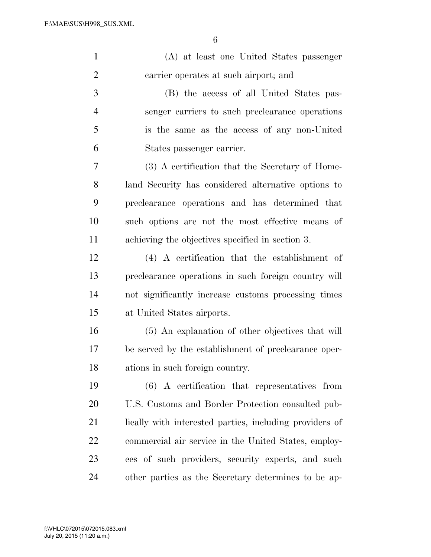| $\mathbf{1}$   | (A) at least one United States passenger                |
|----------------|---------------------------------------------------------|
| $\overline{2}$ | carrier operates at such airport; and                   |
| 3              | (B) the access of all United States pas-                |
| $\overline{4}$ | senger carriers to such preclearance operations         |
| 5              | is the same as the access of any non-United             |
| 6              | States passenger carrier.                               |
| 7              | (3) A certification that the Secretary of Home-         |
| 8              | land Security has considered alternative options to     |
| 9              | preclearance operations and has determined that         |
| 10             | such options are not the most effective means of        |
| 11             | achieving the objectives specified in section 3.        |
| 12             | $(4)$ A certification that the establishment of         |
| 13             | preclearance operations in such foreign country will    |
| 14             | not significantly increase customs processing times     |
| 15             | at United States airports.                              |
| 16             | (5) An explanation of other objectives that will        |
| 17             | be served by the establishment of preclearance oper-    |
| 18             | ations in such foreign country.                         |
| 19             | $(6)$ A certification that representatives from         |
| 20             | U.S. Customs and Border Protection consulted pub-       |
| 21             | lically with interested parties, including providers of |
| 22             | commercial air service in the United States, employ-    |
| 23             | ees of such providers, security experts, and such       |
| 24             | other parties as the Secretary determines to be ap-     |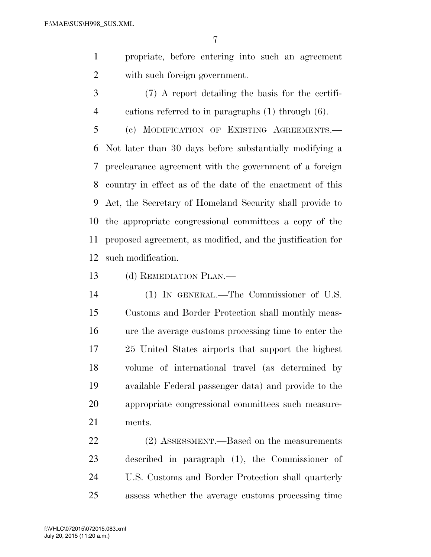propriate, before entering into such an agreement with such foreign government.

 (7) A report detailing the basis for the certifi-cations referred to in paragraphs (1) through (6).

 (c) MODIFICATION OF EXISTING AGREEMENTS.— Not later than 30 days before substantially modifying a preclearance agreement with the government of a foreign country in effect as of the date of the enactment of this Act, the Secretary of Homeland Security shall provide to the appropriate congressional committees a copy of the proposed agreement, as modified, and the justification for such modification.

(d) REMEDIATION PLAN.—

 (1) IN GENERAL.—The Commissioner of U.S. Customs and Border Protection shall monthly meas- ure the average customs processing time to enter the 25 United States airports that support the highest volume of international travel (as determined by available Federal passenger data) and provide to the appropriate congressional committees such measure-ments.

22 (2) ASSESSMENT.—Based on the measurements described in paragraph (1), the Commissioner of U.S. Customs and Border Protection shall quarterly assess whether the average customs processing time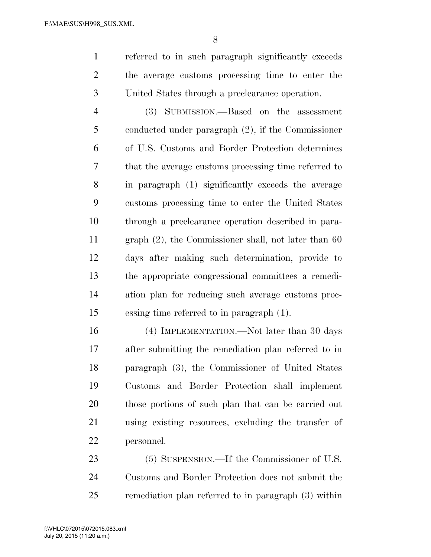referred to in such paragraph significantly exceeds the average customs processing time to enter the United States through a preclearance operation.

 (3) SUBMISSION.—Based on the assessment conducted under paragraph (2), if the Commissioner of U.S. Customs and Border Protection determines that the average customs processing time referred to in paragraph (1) significantly exceeds the average customs processing time to enter the United States through a preclearance operation described in para- graph (2), the Commissioner shall, not later than 60 days after making such determination, provide to the appropriate congressional committees a remedi- ation plan for reducing such average customs proc-essing time referred to in paragraph (1).

 (4) IMPLEMENTATION.—Not later than 30 days after submitting the remediation plan referred to in paragraph (3), the Commissioner of United States Customs and Border Protection shall implement those portions of such plan that can be carried out using existing resources, excluding the transfer of personnel.

 (5) SUSPENSION.—If the Commissioner of U.S. Customs and Border Protection does not submit the remediation plan referred to in paragraph (3) within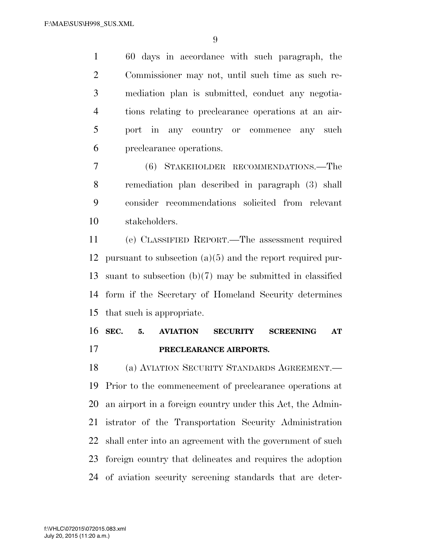60 days in accordance with such paragraph, the Commissioner may not, until such time as such re- mediation plan is submitted, conduct any negotia- tions relating to preclearance operations at an air- port in any country or commence any such preclearance operations.

 (6) STAKEHOLDER RECOMMENDATIONS.—The remediation plan described in paragraph (3) shall consider recommendations solicited from relevant stakeholders.

 (e) CLASSIFIED REPORT.—The assessment required pursuant to subsection (a)(5) and the report required pur- suant to subsection (b)(7) may be submitted in classified form if the Secretary of Homeland Security determines that such is appropriate.

## **SEC. 5. AVIATION SECURITY SCREENING AT PRECLEARANCE AIRPORTS.**

 (a) AVIATION SECURITY STANDARDS AGREEMENT.— Prior to the commencement of preclearance operations at an airport in a foreign country under this Act, the Admin- istrator of the Transportation Security Administration shall enter into an agreement with the government of such foreign country that delineates and requires the adoption of aviation security screening standards that are deter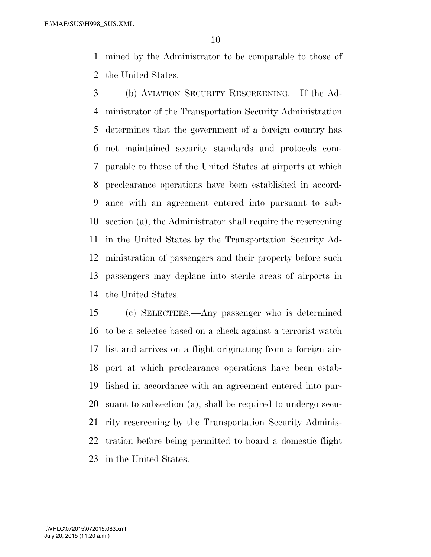mined by the Administrator to be comparable to those of the United States.

 (b) AVIATION SECURITY RESCREENING.—If the Ad- ministrator of the Transportation Security Administration determines that the government of a foreign country has not maintained security standards and protocols com- parable to those of the United States at airports at which preclearance operations have been established in accord- ance with an agreement entered into pursuant to sub- section (a), the Administrator shall require the rescreening in the United States by the Transportation Security Ad- ministration of passengers and their property before such passengers may deplane into sterile areas of airports in the United States.

 (c) SELECTEES.—Any passenger who is determined to be a selectee based on a check against a terrorist watch list and arrives on a flight originating from a foreign air- port at which preclearance operations have been estab- lished in accordance with an agreement entered into pur- suant to subsection (a), shall be required to undergo secu- rity rescreening by the Transportation Security Adminis- tration before being permitted to board a domestic flight in the United States.